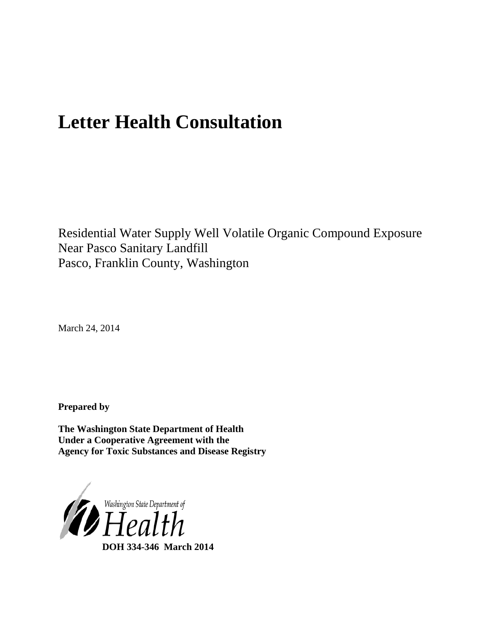# **Letter Health Consultation**

Residential Water Supply Well Volatile Organic Compound Exposure Near Pasco Sanitary Landfill Pasco, Franklin County, Washington

March 24, 2014

**Prepared by**

**The Washington State Department of Health Under a Cooperative Agreement with the Agency for Toxic Substances and Disease Registry**

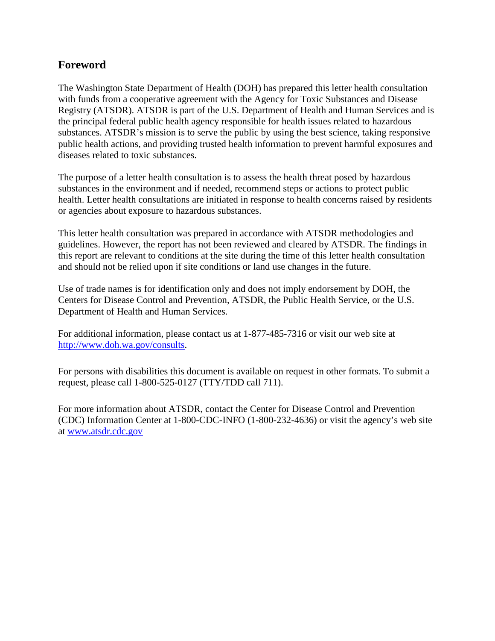# **Foreword**

The Washington State Department of Health (DOH) has prepared this letter health consultation with funds from a cooperative agreement with the Agency for Toxic Substances and Disease Registry (ATSDR). ATSDR is part of the U.S. Department of Health and Human Services and is the principal federal public health agency responsible for health issues related to hazardous substances. ATSDR's mission is to serve the public by using the best science, taking responsive public health actions, and providing trusted health information to prevent harmful exposures and diseases related to toxic substances.

The purpose of a letter health consultation is to assess the health threat posed by hazardous substances in the environment and if needed, recommend steps or actions to protect public health. Letter health consultations are initiated in response to health concerns raised by residents or agencies about exposure to hazardous substances.

This letter health consultation was prepared in accordance with ATSDR methodologies and guidelines. However, the report has not been reviewed and cleared by ATSDR. The findings in this report are relevant to conditions at the site during the time of this letter health consultation and should not be relied upon if site conditions or land use changes in the future.

Use of trade names is for identification only and does not imply endorsement by DOH, the Centers for Disease Control and Prevention, ATSDR, the Public Health Service, or the U.S. Department of Health and Human Services.

For additional information, please contact us at 1-877-485-7316 or visit our web site at [http://www.doh.wa.gov/consults.](http://www.doh.wa.gov/consults)

For persons with disabilities this document is available on request in other formats. To submit a request, please call 1-800-525-0127 (TTY/TDD call 711).

For more information about ATSDR, contact the Center for Disease Control and Prevention (CDC) Information Center at 1-800-CDC-INFO (1-800-232-4636) or visit the agency's web site at [www.atsdr.cdc.gov](http://www.atsdr.cdc.gov/)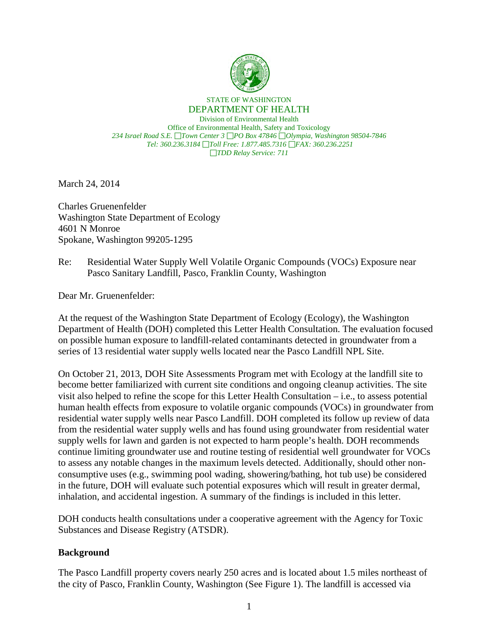

#### STATE OF WASHINGTON DEPARTMENT OF HEALTH

Division of Environmental Health Office of Environmental Health, Safety and Toxicology *234 Israel Road S.E. Town Center 3 PO Box 47846 Olympia, Washington 98504-7846 Tel: 360.236.3184 Toll Free: 1.877.485.7316 FAX: 360.236.2251 TDD Relay Service: 711*

March 24, 2014

Charles Gruenenfelder Washington State Department of Ecology 4601 N Monroe Spokane, Washington 99205-1295

Re: Residential Water Supply Well Volatile Organic Compounds (VOCs) Exposure near Pasco Sanitary Landfill, Pasco, Franklin County, Washington

Dear Mr. Gruenenfelder:

At the request of the Washington State Department of Ecology (Ecology), the Washington Department of Health (DOH) completed this Letter Health Consultation. The evaluation focused on possible human exposure to landfill-related contaminants detected in groundwater from a series of 13 residential water supply wells located near the Pasco Landfill NPL Site.

On October 21, 2013, DOH Site Assessments Program met with Ecology at the landfill site to become better familiarized with current site conditions and ongoing cleanup activities. The site visit also helped to refine the scope for this Letter Health Consultation – i.e., to assess potential human health effects from exposure to volatile organic compounds (VOCs) in groundwater from residential water supply wells near Pasco Landfill. DOH completed its follow up review of data from the residential water supply wells and has found using groundwater from residential water supply wells for lawn and garden is not expected to harm people's health. DOH recommends continue limiting groundwater use and routine testing of residential well groundwater for VOCs to assess any notable changes in the maximum levels detected. Additionally, should other nonconsumptive uses (e.g., swimming pool wading, showering/bathing, hot tub use) be considered in the future, DOH will evaluate such potential exposures which will result in greater dermal, inhalation, and accidental ingestion. A summary of the findings is included in this letter.

DOH conducts health consultations under a cooperative agreement with the Agency for Toxic Substances and Disease Registry (ATSDR).

## **Background**

The Pasco Landfill property covers nearly 250 acres and is located about 1.5 miles northeast of the city of Pasco, Franklin County, Washington (See Figure 1). The landfill is accessed via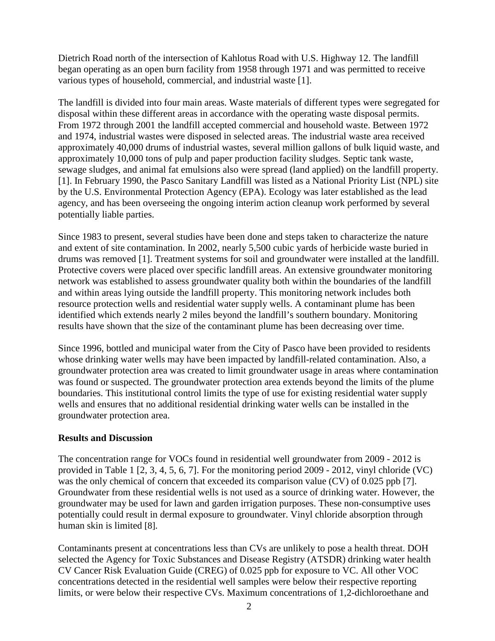Dietrich Road north of the intersection of Kahlotus Road with U.S. Highway 12. The landfill began operating as an open burn facility from 1958 through 1971 and was permitted to receive various types of household, commercial, and industrial waste [1].

The landfill is divided into four main areas. Waste materials of different types were segregated for disposal within these different areas in accordance with the operating waste disposal permits. From 1972 through 2001 the landfill accepted commercial and household waste. Between 1972 and 1974, industrial wastes were disposed in selected areas. The industrial waste area received approximately 40,000 drums of industrial wastes, several million gallons of bulk liquid waste, and approximately 10,000 tons of pulp and paper production facility sludges. Septic tank waste, sewage sludges, and animal fat emulsions also were spread (land applied) on the landfill property. [1]. In February 1990, the Pasco Sanitary Landfill was listed as a National Priority List (NPL) site by the U.S. Environmental Protection Agency (EPA). Ecology was later established as the lead agency, and has been overseeing the ongoing interim action cleanup work performed by several potentially liable parties.

Since 1983 to present, several studies have been done and steps taken to characterize the nature and extent of site contamination. In 2002, nearly 5,500 cubic yards of herbicide waste buried in drums was removed [1]. Treatment systems for soil and groundwater were installed at the landfill. Protective covers were placed over specific landfill areas. An extensive groundwater monitoring network was established to assess groundwater quality both within the boundaries of the landfill and within areas lying outside the landfill property. This monitoring network includes both resource protection wells and residential water supply wells. A contaminant plume has been identified which extends nearly 2 miles beyond the landfill's southern boundary. Monitoring results have shown that the size of the contaminant plume has been decreasing over time.

Since 1996, bottled and municipal water from the City of Pasco have been provided to residents whose drinking water wells may have been impacted by landfill-related contamination. Also, a groundwater protection area was created to limit groundwater usage in areas where contamination was found or suspected. The groundwater protection area extends beyond the limits of the plume boundaries. This institutional control limits the type of use for existing residential water supply wells and ensures that no additional residential drinking water wells can be installed in the groundwater protection area.

# **Results and Discussion**

The concentration range for VOCs found in residential well groundwater from 2009 - 2012 is provided in Table 1 [2, 3, 4, 5, 6, 7]. For the monitoring period 2009 - 2012, vinyl chloride (VC) was the only chemical of concern that exceeded its comparison value (CV) of 0.025 ppb [7]. Groundwater from these residential wells is not used as a source of drinking water. However, the groundwater may be used for lawn and garden irrigation purposes. These non-consumptive uses potentially could result in dermal exposure to groundwater. Vinyl chloride absorption through human skin is limited [8].

Contaminants present at concentrations less than CVs are unlikely to pose a health threat. DOH selected the Agency for Toxic Substances and Disease Registry (ATSDR) drinking water health CV Cancer Risk Evaluation Guide (CREG) of 0.025 ppb for exposure to VC. All other VOC concentrations detected in the residential well samples were below their respective reporting limits, or were below their respective CVs. Maximum concentrations of 1,2-dichloroethane and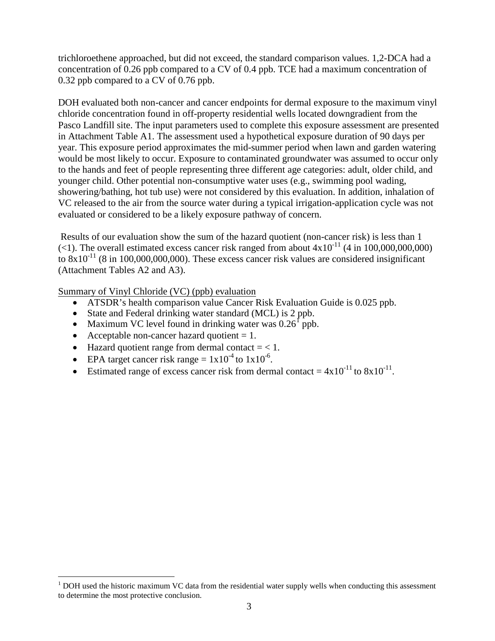trichloroethene approached, but did not exceed, the standard comparison values. 1,2-DCA had a concentration of 0.26 ppb compared to a CV of 0.4 ppb. TCE had a maximum concentration of 0.32 ppb compared to a CV of 0.76 ppb.

DOH evaluated both non-cancer and cancer endpoints for dermal exposure to the maximum vinyl chloride concentration found in off-property residential wells located downgradient from the Pasco Landfill site. The input parameters used to complete this exposure assessment are presented in Attachment Table A1. The assessment used a hypothetical exposure duration of 90 days per year. This exposure period approximates the mid-summer period when lawn and garden watering would be most likely to occur. Exposure to contaminated groundwater was assumed to occur only to the hands and feet of people representing three different age categories: adult, older child, and younger child. Other potential non-consumptive water uses (e.g., swimming pool wading, showering/bathing, hot tub use) were not considered by this evaluation. In addition, inhalation of VC released to the air from the source water during a typical irrigation-application cycle was not evaluated or considered to be a likely exposure pathway of concern.

 Results of our evaluation show the sum of the hazard quotient (non-cancer risk) is less than 1 (<1). The overall estimated excess cancer risk ranged from about  $4x10^{-11}$  (4 in 100,000,000,000) to  $8x10^{-11}$  (8 in 100,000,000,000). These excess cancer risk values are considered insignificant (Attachment Tables A2 and A3).

Summary of Vinyl Chloride (VC) (ppb) evaluation

- ATSDR's health comparison value Cancer Risk Evaluation Guide is 0.025 ppb.
- State and Federal drinking water standard (MCL) is 2 ppb.
- Maximum VC level found in drinking water was  $0.26<sup>1</sup>$  $0.26<sup>1</sup>$  $0.26<sup>1</sup>$  ppb.
- Acceptable non-cancer hazard quotient  $= 1$ .

 $\overline{a}$ 

- Hazard quotient range from dermal contact  $=$  < 1.
- EPA target cancer risk range =  $1x10^{-4}$  to  $1x10^{-6}$ .
- Estimated range of excess cancer risk from dermal contact =  $4x10^{-11}$  to  $8x10^{-11}$ .

<span id="page-4-0"></span> $1$  DOH used the historic maximum VC data from the residential water supply wells when conducting this assessment to determine the most protective conclusion.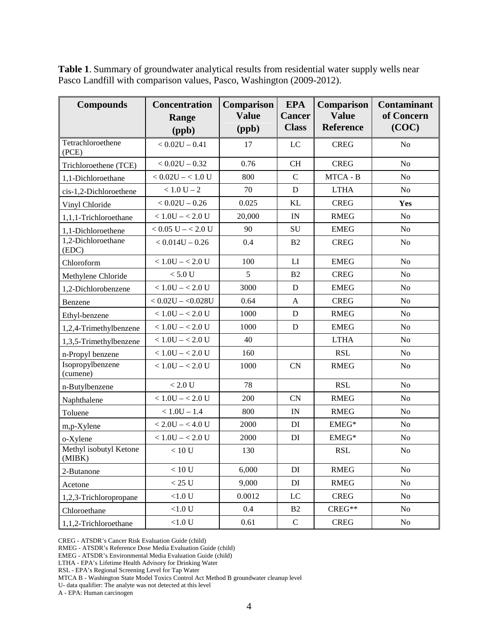| <b>Compounds</b>                 | <b>Concentration</b><br>Range<br>(ppb) | <b>Comparison</b><br><b>Value</b><br>(ppb) | <b>EPA</b><br><b>Cancer</b><br><b>Class</b> | <b>Comparison</b><br><b>Value</b><br><b>Reference</b> | <b>Contaminant</b><br>of Concern<br>(COC) |
|----------------------------------|----------------------------------------|--------------------------------------------|---------------------------------------------|-------------------------------------------------------|-------------------------------------------|
| Tetrachloroethene<br>(PCE)       | $< 0.02U - 0.41$                       | 17                                         | LC                                          | <b>CREG</b>                                           | N <sub>o</sub>                            |
| Trichloroethene (TCE)            | $< 0.02U - 0.32$                       | 0.76                                       | CH                                          | <b>CREG</b>                                           | No                                        |
| 1,1-Dichloroethane               | $< 0.02$ U $- < 1.0$ U                 | 800                                        | $\mathbf C$                                 | MTCA - B                                              | No                                        |
| cis-1,2-Dichloroethene           | $< 1.0 U - 2$                          | 70                                         | D                                           | <b>LTHA</b>                                           | No                                        |
| Vinyl Chloride                   | $< 0.02U - 0.26$                       | 0.025                                      | KL                                          | <b>CREG</b>                                           | Yes                                       |
| 1,1,1-Trichloroethane            | $< 1.0$ U $- < 2.0$ U                  | 20,000                                     | IN                                          | <b>RMEG</b>                                           | No                                        |
| 1,1-Dichloroethene               | $< 0.05$ U $- < 2.0$ U                 | 90                                         | SU                                          | <b>EMEG</b>                                           | No                                        |
| 1,2-Dichloroethane<br>(EDC)      | $< 0.014U - 0.26$                      | 0.4                                        | B <sub>2</sub>                              | <b>CREG</b>                                           | No                                        |
| Chloroform                       | $< 1.0$ U $- < 2.0$ U                  | 100                                        | LI                                          | <b>EMEG</b>                                           | No                                        |
| Methylene Chloride               | $< 5.0 U$                              | 5                                          | B <sub>2</sub>                              | <b>CREG</b>                                           | No                                        |
| 1,2-Dichlorobenzene              | $< 1.0$ U $- < 2.0$ U                  | 3000                                       | D                                           | <b>EMEG</b>                                           | No                                        |
| Benzene                          | $< 0.02U - 0.028U$                     | 0.64                                       | $\mathbf{A}$                                | <b>CREG</b>                                           | No                                        |
| Ethyl-benzene                    | $< 1.0$ U $- < 2.0$ U                  | 1000                                       | D                                           | <b>RMEG</b>                                           | No                                        |
| 1,2,4-Trimethylbenzene           | $< 1.0$ U $- < 2.0$ U                  | 1000                                       | D                                           | <b>EMEG</b>                                           | No                                        |
| 1,3,5-Trimethylbenzene           | $< 1.0$ U $- < 2.0$ U                  | 40                                         |                                             | <b>LTHA</b>                                           | No                                        |
| n-Propyl benzene                 | $< 1.0$ U $- < 2.0$ U                  | 160                                        |                                             | <b>RSL</b>                                            | No                                        |
| Isopropylbenzene<br>(cumene)     | $< 1.0$ U $- < 2.0$ U                  | 1000                                       | CN                                          | <b>RMEG</b>                                           | No                                        |
| n-Butylbenzene                   | $< 2.0 U$                              | 78                                         |                                             | <b>RSL</b>                                            | N <sub>o</sub>                            |
| Naphthalene                      | $< 1.0$ U $- < 2.0$ U                  | 200                                        | CN                                          | <b>RMEG</b>                                           | No                                        |
| Toluene                          | $< 1.0U - 1.4$                         | 800                                        | IN                                          | <b>RMEG</b>                                           | No                                        |
| m,p-Xylene                       | $< 2.0U - 4.0U$                        | 2000                                       | DI                                          | EMEG*                                                 | N <sub>o</sub>                            |
| o-Xylene                         | $< 1.0$ U $- < 2.0$ U                  | 2000                                       | DI                                          | $EMEG*$                                               | No                                        |
| Methyl isobutyl Ketone<br>(MIBK) | < 10 U                                 | 130                                        |                                             | <b>RSL</b>                                            | N <sub>o</sub>                            |
| 2-Butanone                       | $<10\;\mathrm{U}$                      | 6,000                                      | DI                                          | <b>RMEG</b>                                           | No                                        |
| Acetone                          | $<25~\mathrm{U}$                       | 9,000                                      | DI                                          | <b>RMEG</b>                                           | No                                        |
| 1,2,3-Trichloropropane           | $<\!\!1.0$ U                           | 0.0012                                     | LC                                          | <b>CREG</b>                                           | No                                        |
| Chloroethane                     | $<1.0$ U                               | 0.4                                        | <b>B2</b>                                   | $CREG**$                                              | N <sub>o</sub>                            |
| 1,1,2-Trichloroethane            | $<1.0$ U                               | 0.61                                       | ${\bf C}$                                   | <b>CREG</b>                                           | No                                        |

**Table 1**. Summary of groundwater analytical results from residential water supply wells near Pasco Landfill with comparison values, Pasco, Washington (2009-2012).

CREG - ATSDR's Cancer Risk Evaluation Guide (child)

RMEG - ATSDR's Reference Dose Media Evaluation Guide (child)

EMEG - ATSDR's Environmental Media Evaluation Guide (child)

LTHA - EPA's Lifetime Health Advisory for Drinking Water

RSL - EPA's Regional Screening Level for Tap Water

MTCA B - Washington State Model Toxics Control Act Method B groundwater cleanup level

U- data qualifier: The analyte was not detected at this level

A - EPA: Human carcinogen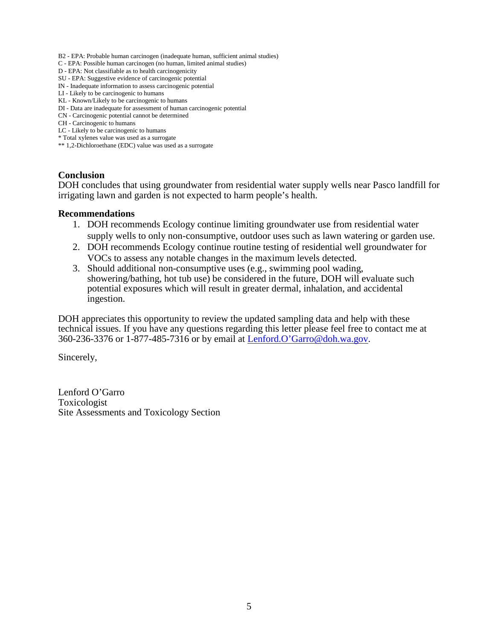- B2 EPA: Probable human carcinogen (inadequate human, sufficient animal studies)
- C EPA: Possible human carcinogen (no human, limited animal studies)
- D EPA: Not classifiable as to health carcinogenicity
- SU EPA: Suggestive evidence of carcinogenic potential
- IN Inadequate information to assess carcinogenic potential
- LI Likely to be carcinogenic to humans
- KL Known/Likely to be carcinogenic to humans
- DI Data are inadequate for assessment of human carcinogenic potential
- CN Carcinogenic potential cannot be determined
- CH Carcinogenic to humans
- LC Likely to be carcinogenic to humans \* Total xylenes value was used as a surrogate
- \*\* 1,2-Dichloroethane (EDC) value was used as a surrogate

#### **Conclusion**

DOH concludes that using groundwater from residential water supply wells near Pasco landfill for irrigating lawn and garden is not expected to harm people's health.

#### **Recommendations**

- 1. DOH recommends Ecology continue limiting groundwater use from residential water supply wells to only non-consumptive, outdoor uses such as lawn watering or garden use.
- 2. DOH recommends Ecology continue routine testing of residential well groundwater for VOCs to assess any notable changes in the maximum levels detected.
- 3. Should additional non-consumptive uses (e.g., swimming pool wading, showering/bathing, hot tub use) be considered in the future, DOH will evaluate such potential exposures which will result in greater dermal, inhalation, and accidental ingestion.

DOH appreciates this opportunity to review the updated sampling data and help with these technical issues. If you have any questions regarding this letter please feel free to contact me at 360-236-3376 or 1-877-485-7316 or by email at [Lenford.O'Garro@doh.wa.gov.](mailto:Lenford.O’Garro@doh.wa.gov)

Sincerely,

Lenford O'Garro Toxicologist Site Assessments and Toxicology Section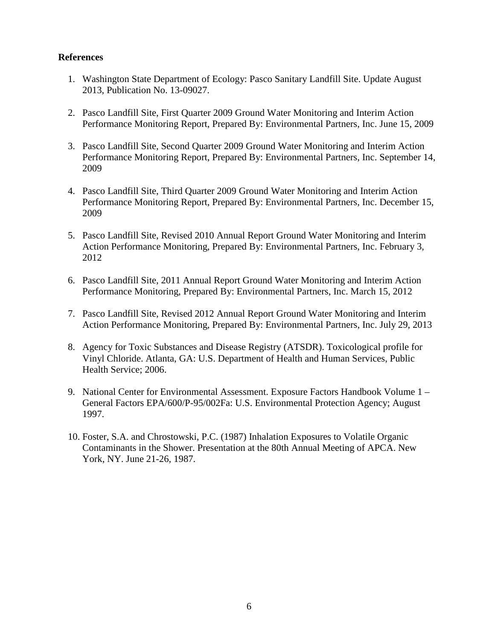## **References**

- 1. Washington State Department of Ecology: Pasco Sanitary Landfill Site. Update August 2013, Publication No. 13-09027.
- 2. Pasco Landfill Site, First Quarter 2009 Ground Water Monitoring and Interim Action Performance Monitoring Report, Prepared By: Environmental Partners, Inc. June 15, 2009
- 3. Pasco Landfill Site, Second Quarter 2009 Ground Water Monitoring and Interim Action Performance Monitoring Report, Prepared By: Environmental Partners, Inc. September 14, 2009
- 4. Pasco Landfill Site, Third Quarter 2009 Ground Water Monitoring and Interim Action Performance Monitoring Report, Prepared By: Environmental Partners, Inc. December 15, 2009
- 5. Pasco Landfill Site, Revised 2010 Annual Report Ground Water Monitoring and Interim Action Performance Monitoring, Prepared By: Environmental Partners, Inc. February 3, 2012
- 6. Pasco Landfill Site, 2011 Annual Report Ground Water Monitoring and Interim Action Performance Monitoring, Prepared By: Environmental Partners, Inc. March 15, 2012
- 7. Pasco Landfill Site, Revised 2012 Annual Report Ground Water Monitoring and Interim Action Performance Monitoring, Prepared By: Environmental Partners, Inc. July 29, 2013
- 8. Agency for Toxic Substances and Disease Registry (ATSDR). Toxicological profile for Vinyl Chloride. Atlanta, GA: U.S. Department of Health and Human Services, Public Health Service; 2006.
- 9. National Center for Environmental Assessment. Exposure Factors Handbook Volume 1 General Factors EPA/600/P-95/002Fa: U.S. Environmental Protection Agency; August 1997.
- 10. Foster, S.A. and Chrostowski, P.C. (1987) Inhalation Exposures to Volatile Organic Contaminants in the Shower. Presentation at the 80th Annual Meeting of APCA. New York, NY. June 21-26, 1987.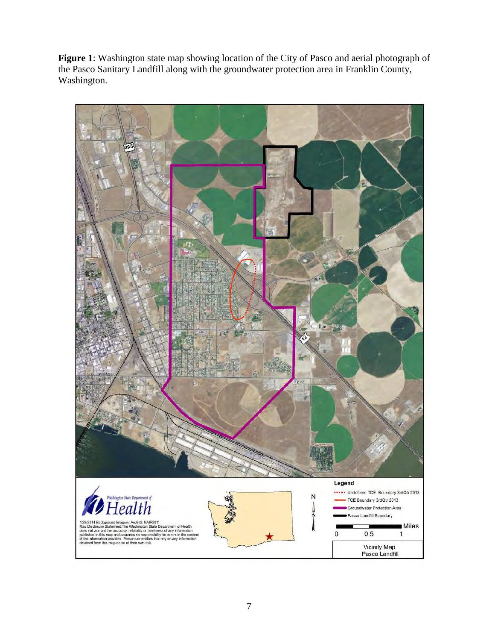**Figure 1**: Washington state map showing location of the City of Pasco and aerial photograph of the Pasco Sanitary Landfill along with the groundwater protection area in Franklin County, Washington.

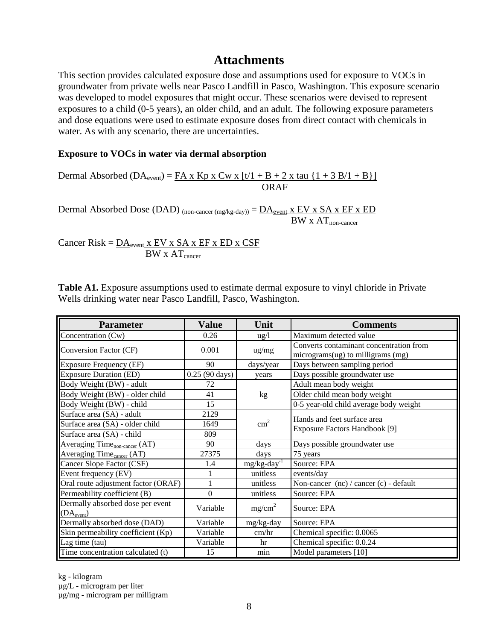# **Attachments**

This section provides calculated exposure dose and assumptions used for exposure to VOCs in groundwater from private wells near Pasco Landfill in Pasco, Washington. This exposure scenario was developed to model exposures that might occur. These scenarios were devised to represent exposures to a child (0-5 years), an older child, and an adult. The following exposure parameters and dose equations were used to estimate exposure doses from direct contact with chemicals in water. As with any scenario, there are uncertainties.

## **Exposure to VOCs in water via dermal absorption**

Dermal Absorbed (DA<sub>event</sub>) =  $\underline{FA} \times \underline{Kp} \times \underline{Cw} \times \underline{t \cdot t + B + 2 \times \underline{tau \cdot t}} \times \underline{I + 3 B / 1 + B}$ ORAF

Dermal Absorbed Dose (DAD) (non-cancer (mg/kg-day)) =  $\overline{DA}_{event}$  x EV x SA x EF x ED  $BW \times AT$ <sub>non-cancer</sub>

Cancer Risk =  $\overline{DA}_{event}$  x EV x SA x EF x ED x CSF BW x AT<sub>cancer</sub>

**Table A1.** Exposure assumptions used to estimate dermal exposure to vinyl chloride in Private Wells drinking water near Pasco Landfill, Pasco, Washington.

| <b>Parameter</b>                                   | <b>Value</b>            | Unit                       | <b>Comments</b>                                                              |  |
|----------------------------------------------------|-------------------------|----------------------------|------------------------------------------------------------------------------|--|
| Concentration (Cw)                                 | 0.26                    | $\frac{1}{2}$              | Maximum detected value                                                       |  |
| Conversion Factor (CF)                             | 0.001                   | $\frac{ug}{mg}$            | Converts contaminant concentration from<br>micrograms(ug) to milligrams (mg) |  |
| Exposure Frequency (EF)                            | 90                      | days/year                  | Days between sampling period                                                 |  |
| <b>Exposure Duration (ED)</b>                      | $0.25(90 \text{ days})$ | years                      | Days possible groundwater use                                                |  |
| Body Weight (BW) - adult                           | 72                      |                            | Adult mean body weight                                                       |  |
| Body Weight (BW) - older child                     | 41                      | kg                         | Older child mean body weight                                                 |  |
| Body Weight (BW) - child                           | 15                      |                            | 0-5 year-old child average body weight                                       |  |
| Surface area (SA) - adult                          | 2129                    |                            | Hands and feet surface area                                                  |  |
| Surface area (SA) - older child                    | 1649                    | $\text{cm}^2$              |                                                                              |  |
| Surface area (SA) - child                          | 809                     |                            | Exposure Factors Handbook [9]                                                |  |
| Averaging Time <sub>non-cancer</sub> (AT)          | 90                      | days                       | Days possible groundwater use                                                |  |
| Averaging Time <sub>cancer</sub> (AT)              | 27375                   | days                       | 75 years                                                                     |  |
| Cancer Slope Factor (CSF)                          | 1.4                     | $mg/kg$ -day <sup>-1</sup> | Source: EPA                                                                  |  |
| Event frequency (EV)                               |                         | unitless                   | events/day                                                                   |  |
| Oral route adjustment factor (ORAF)                | 1                       | unitless                   | Non-cancer (nc) / cancer (c) - default                                       |  |
| Permeability coefficient (B)                       | $\theta$                | unitless                   | Source: EPA                                                                  |  |
| Dermally absorbed dose per event<br>$[DA_{event})$ | Variable                | mg/cm <sup>2</sup>         | Source: EPA                                                                  |  |
| Dermally absorbed dose (DAD)                       | Variable                | mg/kg-day                  | Source: EPA                                                                  |  |
| Skin permeability coefficient (Kp)                 | Variable                | cm/hr                      | Chemical specific: 0.0065                                                    |  |
| Lag time (tau)                                     | Variable                | hr                         | Chemical specific: 0.0.24                                                    |  |
| Time concentration calculated (t)                  | 15                      | min                        | Model parameters [10]                                                        |  |

kg - kilogram µg/L - microgram per liter µg/mg - microgram per milligram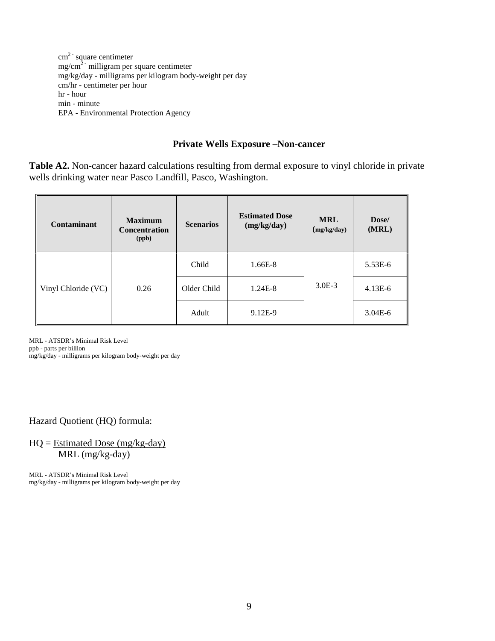$cm<sup>2</sup>$  square centimeter mg/cm<sup>2 -</sup> milligram per square centimeter mg/kg/day - milligrams per kilogram body-weight per day cm/hr - centimeter per hour hr - hour min - minute EPA - Environmental Protection Agency

#### **Private Wells Exposure –Non-cancer**

**Table A2.** Non-cancer hazard calculations resulting from dermal exposure to vinyl chloride in private wells drinking water near Pasco Landfill, Pasco, Washington.

| <b>Contaminant</b>  | <b>Maximum</b><br><b>Concentration</b><br>(ppb) | <b>Scenarios</b> | <b>Estimated Dose</b><br>(mg/kg/day) | <b>MRL</b><br>(mg/kg/day) | Dose/<br>(MRL) |
|---------------------|-------------------------------------------------|------------------|--------------------------------------|---------------------------|----------------|
| Vinyl Chloride (VC) | 0.26                                            | Child            | $1.66E-8$                            |                           | 5.53E-6        |
|                     |                                                 | Older Child      | $1.24E-8$                            | $3.0E-3$                  | $4.13E-6$      |
|                     |                                                 | Adult            | 9.12E-9                              |                           | $3.04E-6$      |

MRL - ATSDR's Minimal Risk Level ppb - parts per billion mg/kg/day - milligrams per kilogram body-weight per day

## Hazard Quotient (HQ) formula:

 $HQ = Estimated Does (mg/kg-day)$ MRL (mg/kg-day)

MRL - ATSDR's Minimal Risk Level mg/kg/day - milligrams per kilogram body-weight per day